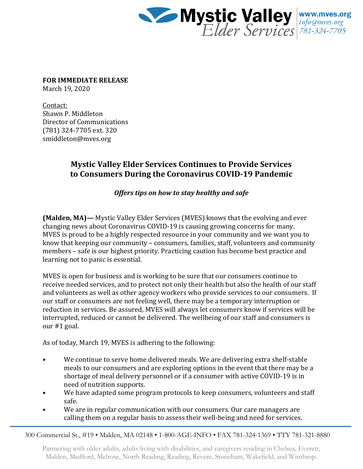

**FOR IMMEDIATE RELEASE** March 19, 2020

Contact: Shawn P. Middleton Director of Communications (781) 324-7705 ext. 320 smiddleton@mves.org

## **Mystic Valley Elder Services Continues to Provide Services to Consumers During the Coronavirus COVID-19 Pandemic**

*Offers tips on how to stay healthy and safe* 

**(Malden, MA)—** Mystic Valley Elder Services (MVES) knows that the evolving and ever changing news about Coronavirus COVID-19 is causing growing concerns for many. MVES is proud to be a highly respected resource in your community and we want you to know that keeping our community – consumers, families, staff, volunteers and community members – safe is our highest priority. Practicing caution has become best practice and learning not to panic is essential.

MVES is open for business and is working to be sure that our consumers continue to receive needed services, and to protect not only their health but also the health of our staff and volunteers as well as other agency workers who provide services to our consumers. If our staff or consumers are not feeling well, there may be a temporary interruption or reduction in services. Be assured, MVES will always let consumers know if services will be interrupted, reduced or cannot be delivered. The wellbeing of our staff and consumers is our #1 goal.

As of today, March 19, MVES is adhering to the following:

- We continue to serve home delivered meals. We are delivering extra shelf-stable meals to our consumers and are exploring options in the event that there may be a shortage of meal delivery personnel or if a consumer with active COVID-19 is in need of nutrition supports.
- We have adapted some program protocols to keep consumers, volunteers and staff safe.
- We are in regular communication with our consumers. Our care managers are calling them on a regular basis to assess their well-being and need for services.

300 Commercial St., #19 • Malden, MA 02148 • 1-800-AGE-INFO • FAX 781-324-1369 • TTY 781-321-8880

Partnering with older adults, adults living with disabilities, and caregivers residing in Chelsea, Everett, Malden, Medford, Melrose, North Reading, Reading, Revere, Stoneham, Wakefield, and Winthrop.